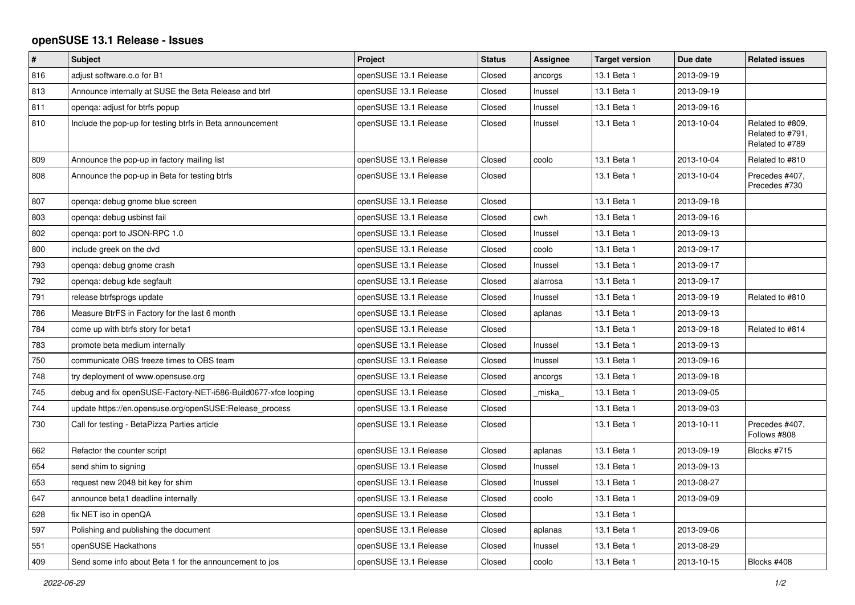## **openSUSE 13.1 Release - Issues**

| $\#$ | <b>Subject</b>                                                 | Project               | <b>Status</b> | Assignee | <b>Target version</b> | Due date   | <b>Related issues</b>                                   |
|------|----------------------------------------------------------------|-----------------------|---------------|----------|-----------------------|------------|---------------------------------------------------------|
| 816  | adjust software.o.o for B1                                     | openSUSE 13.1 Release | Closed        | ancorgs  | 13.1 Beta 1           | 2013-09-19 |                                                         |
| 813  | Announce internally at SUSE the Beta Release and btrf          | openSUSE 13.1 Release | Closed        | Inussel  | 13.1 Beta 1           | 2013-09-19 |                                                         |
| 811  | openga: adjust for btrfs popup                                 | openSUSE 13.1 Release | Closed        | Inussel  | 13.1 Beta 1           | 2013-09-16 |                                                         |
| 810  | Include the pop-up for testing btrfs in Beta announcement      | openSUSE 13.1 Release | Closed        | Inussel  | 13.1 Beta 1           | 2013-10-04 | Related to #809.<br>Related to #791,<br>Related to #789 |
| 809  | Announce the pop-up in factory mailing list                    | openSUSE 13.1 Release | Closed        | coolo    | 13.1 Beta 1           | 2013-10-04 | Related to #810                                         |
| 808  | Announce the pop-up in Beta for testing btrfs                  | openSUSE 13.1 Release | Closed        |          | 13.1 Beta 1           | 2013-10-04 | Precedes #407,<br>Precedes #730                         |
| 807  | openga: debug gnome blue screen                                | openSUSE 13.1 Release | Closed        |          | 13.1 Beta 1           | 2013-09-18 |                                                         |
| 803  | openga: debug usbinst fail                                     | openSUSE 13.1 Release | Closed        | cwh      | 13.1 Beta 1           | 2013-09-16 |                                                         |
| 802  | openga: port to JSON-RPC 1.0                                   | openSUSE 13.1 Release | Closed        | Inussel  | 13.1 Beta 1           | 2013-09-13 |                                                         |
| 800  | include greek on the dvd                                       | openSUSE 13.1 Release | Closed        | coolo    | 13.1 Beta 1           | 2013-09-17 |                                                         |
| 793  | openga: debug gnome crash                                      | openSUSE 13.1 Release | Closed        | Inussel  | 13.1 Beta 1           | 2013-09-17 |                                                         |
| 792  | openga: debug kde segfault                                     | openSUSE 13.1 Release | Closed        | alarrosa | 13.1 Beta 1           | 2013-09-17 |                                                         |
| 791  | release btrfsprogs update                                      | openSUSE 13.1 Release | Closed        | Inussel  | 13.1 Beta 1           | 2013-09-19 | Related to #810                                         |
| 786  | Measure BtrFS in Factory for the last 6 month                  | openSUSE 13.1 Release | Closed        | aplanas  | 13.1 Beta 1           | 2013-09-13 |                                                         |
| 784  | come up with btrfs story for beta1                             | openSUSE 13.1 Release | Closed        |          | 13.1 Beta 1           | 2013-09-18 | Related to #814                                         |
| 783  | promote beta medium internally                                 | openSUSE 13.1 Release | Closed        | Inussel  | 13.1 Beta 1           | 2013-09-13 |                                                         |
| 750  | communicate OBS freeze times to OBS team                       | openSUSE 13.1 Release | Closed        | Inussel  | 13.1 Beta 1           | 2013-09-16 |                                                         |
| 748  | try deployment of www.opensuse.org                             | openSUSE 13.1 Release | Closed        | ancorgs  | 13.1 Beta 1           | 2013-09-18 |                                                         |
| 745  | debug and fix openSUSE-Factory-NET-i586-Build0677-xfce looping | openSUSE 13.1 Release | Closed        | miska    | 13.1 Beta 1           | 2013-09-05 |                                                         |
| 744  | update https://en.opensuse.org/openSUSE:Release process        | openSUSE 13.1 Release | Closed        |          | 13.1 Beta 1           | 2013-09-03 |                                                         |
| 730  | Call for testing - BetaPizza Parties article                   | openSUSE 13.1 Release | Closed        |          | 13.1 Beta 1           | 2013-10-11 | Precedes #407,<br>Follows #808                          |
| 662  | Refactor the counter script                                    | openSUSE 13.1 Release | Closed        | aplanas  | 13.1 Beta 1           | 2013-09-19 | Blocks #715                                             |
| 654  | send shim to signing                                           | openSUSE 13.1 Release | Closed        | Inussel  | 13.1 Beta 1           | 2013-09-13 |                                                         |
| 653  | request new 2048 bit key for shim                              | openSUSE 13.1 Release | Closed        | Inussel  | 13.1 Beta 1           | 2013-08-27 |                                                         |
| 647  | announce beta1 deadline internally                             | openSUSE 13.1 Release | Closed        | coolo    | 13.1 Beta 1           | 2013-09-09 |                                                         |
| 628  | fix NET iso in openQA                                          | openSUSE 13.1 Release | Closed        |          | 13.1 Beta 1           |            |                                                         |
| 597  | Polishing and publishing the document                          | openSUSE 13.1 Release | Closed        | aplanas  | 13.1 Beta 1           | 2013-09-06 |                                                         |
| 551  | openSUSE Hackathons                                            | openSUSE 13.1 Release | Closed        | Inussel  | 13.1 Beta 1           | 2013-08-29 |                                                         |
| 409  | Send some info about Beta 1 for the announcement to jos        | openSUSE 13.1 Release | Closed        | coolo    | 13.1 Beta 1           | 2013-10-15 | Blocks #408                                             |